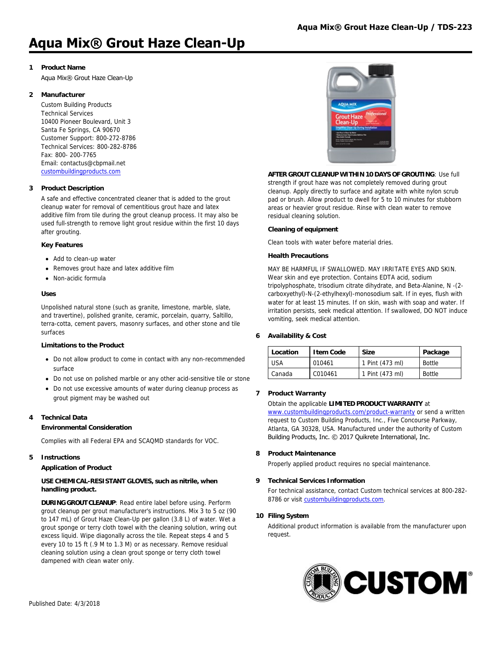## **Aqua Mix® Grout Haze Clean-Up**

## **1 Product Name**

Aqua Mix® Grout Haze Clean-Up

## **2 Manufacturer**

Custom Building Products Technical Services 10400 Pioneer Boulevard, Unit 3 Santa Fe Springs, CA 90670 Customer Support: 800-272-8786 Technical Services: 800-282-8786 Fax: 800- 200-7765 Email: contactus@cbpmail.net [custombuildingproducts.com](http://www.custombuildingproducts.com)

#### **3 Product Description**

A safe and effective concentrated cleaner that is added to the grout cleanup water for removal of cementitious grout haze and latex additive film from tile during the grout cleanup process. It may also be used full-strength to remove light grout residue within the first 10 days after grouting.

#### **Key Features**

- Add to clean-up water
- Removes grout haze and latex additive film
- Non-acidic formula

#### **Uses**

Unpolished natural stone (such as granite, limestone, marble, slate, and travertine), polished granite, ceramic, porcelain, quarry, Saltillo, terra-cotta, cement pavers, masonry surfaces, and other stone and tile surfaces

## **Limitations to the Product**

- Do not allow product to come in contact with any non-recommended surface
- Do not use on polished marble or any other acid-sensitive tile or stone
- Do not use excessive amounts of water during cleanup process as grout pigment may be washed out

## **4 Technical Data**

#### **Environmental Consideration**

Complies with all Federal EPA and SCAQMD standards for VOC.

#### **5 Instructions**

## **Application of Product**

#### **USE CHEMICAL-RESISTANT GLOVES, such as nitrile, when handling product.**

**DURING GROUT CLEANUP**: Read entire label before using. Perform grout cleanup per grout manufacturer's instructions. Mix 3 to 5 oz (90 to 147 mL) of Grout Haze Clean-Up per gallon (3.8 L) of water. Wet a grout sponge or terry cloth towel with the cleaning solution, wring out excess liquid. Wipe diagonally across the tile. Repeat steps 4 and 5 every 10 to 15 ft (.9 M to 1.3 M) or as necessary. Remove residual cleaning solution using a clean grout sponge or terry cloth towel dampened with clean water only.



## **AFTER GROUT CLEANUP WITHIN 10 DAYS OF GROUTING**: Use full strength if grout haze was not completely removed during grout cleanup. Apply directly to surface and agitate with white nylon scrub

pad or brush. Allow product to dwell for 5 to 10 minutes for stubborn areas or heavier grout residue. Rinse with clean water to remove residual cleaning solution.

#### **Cleaning of equipment**

Clean tools with water before material dries.

## **Health Precautions**

MAY BE HARMFUL IF SWALLOWED. MAY IRRITATE EYES AND SKIN. Wear skin and eye protection. Contains EDTA acid, sodium tripolyphosphate, trisodium citrate dihydrate, and Beta-Alanine, N -(2 carboxyethyl)-N-(2-ethylhexyl)-monosodium salt. If in eyes, flush with water for at least 15 minutes. If on skin, wash with soap and water. If irritation persists, seek medical attention. If swallowed, DO NOT induce vomiting, seek medical attention.

## **6 Availability & Cost**

| Location | Item Code | <b>Size</b>     | Package       |
|----------|-----------|-----------------|---------------|
| USA      | 010461    | 1 Pint (473 ml) | <b>Bottle</b> |
| Canada   | C010461   | 1 Pint (473 ml) | Bottle        |

## **7 Product Warranty**

#### Obtain the applicable **LIMITED PRODUCT WARRANTY** at

[www.custombuildingproducts.com/product-warranty](http://www.custombuildingproducts.com/product-warranty) or send a written request to Custom Building Products, Inc., Five Concourse Parkway, Atlanta, GA 30328, USA. Manufactured under the authority of Custom Building Products, Inc. © 2017 Quikrete International, Inc.

#### **8 Product Maintenance**

Properly applied product requires no special maintenance.

## **9 Technical Services Information**

For technical assistance, contact Custom technical services at 800-282- 8786 or visit [custombuildingproducts.com.](https://www.custombuildingproducts.com:443/support/contact-us.aspx)

## **10 Filing System**

Additional product information is available from the manufacturer upon request.

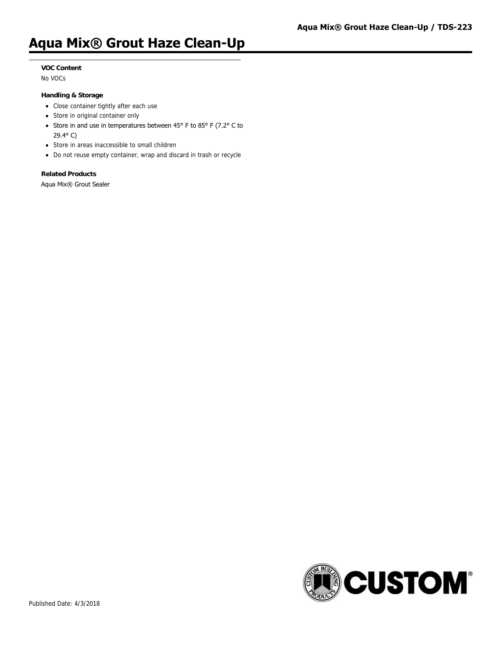## **Aqua Mix® Grout Haze Clean-Up**

## **VOC Content**

No VOCs

#### **Handling & Storage**

- Close container tightly after each use
- Store in original container only
- Store in and use in temperatures between 45° F to 85° F (7.2° C to 29.4° C)
- Store in areas inaccessible to small children
- Do not reuse empty container, wrap and discard in trash or recycle

## **Related Products**

Aqua Mix® Grout Sealer